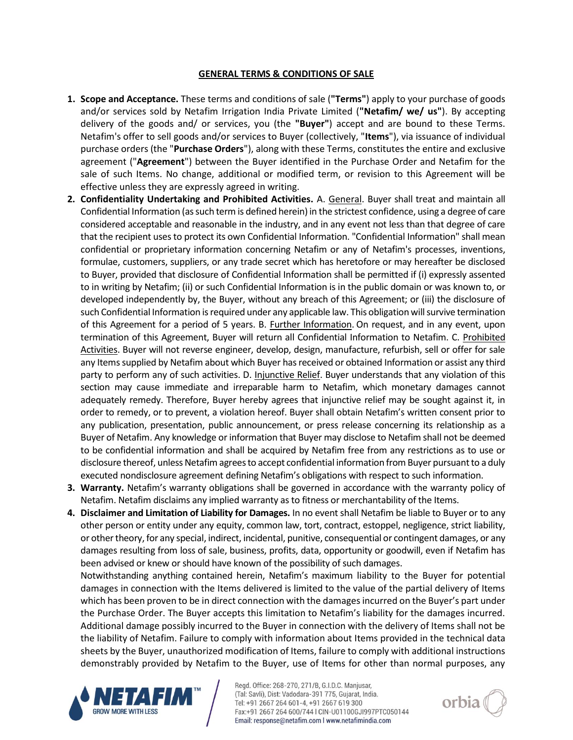## **GENERAL TERMS & CONDITIONS OF SALE**

- **1. Scope and Acceptance.** These terms and conditions of sale (**"Terms"**) apply to your purchase of goods and/or services sold by Netafim Irrigation India Private Limited (**"Netafim/ we/ us"**). By accepting delivery of the goods and/ or services, you (the **"Buyer"**) accept and are bound to these Terms. Netafim's offer to sell goods and/or services to Buyer (collectively, "**Items**"), via issuance of individual purchase orders (the "**Purchase Orders**"), along with these Terms, constitutes the entire and exclusive agreement ("**Agreement**") between the Buyer identified in the Purchase Order and Netafim for the sale of such Items. No change, additional or modified term, or revision to this Agreement will be effective unless they are expressly agreed in writing.
- **2. Confidentiality Undertaking and Prohibited Activities.** A. General. Buyer shall treat and maintain all Confidential Information (as such term is defined herein) in the strictest confidence, using a degree of care considered acceptable and reasonable in the industry, and in any event not less than that degree of care that the recipient uses to protect its own Confidential Information. "Confidential Information" shall mean confidential or proprietary information concerning Netafim or any of Netafim's processes, inventions, formulae, customers, suppliers, or any trade secret which has heretofore or may hereafter be disclosed to Buyer, provided that disclosure of Confidential Information shall be permitted if (i) expressly assented to in writing by Netafim; (ii) or such Confidential Information is in the public domain or was known to, or developed independently by, the Buyer, without any breach of this Agreement; or (iii) the disclosure of such Confidential Information is required under any applicable law. This obligation will survive termination of this Agreement for a period of 5 years. B. Further Information. On request, and in any event, upon termination of this Agreement, Buyer will return all Confidential Information to Netafim. C. Prohibited Activities. Buyer will not reverse engineer, develop, design, manufacture, refurbish, sell or offer for sale any Items supplied by Netafim about which Buyer has received or obtained Information or assist any third party to perform any of such activities. D. Injunctive Relief. Buyer understands that any violation of this section may cause immediate and irreparable harm to Netafim, which monetary damages cannot adequately remedy. Therefore, Buyer hereby agrees that injunctive relief may be sought against it, in order to remedy, or to prevent, a violation hereof. Buyer shall obtain Netafim's written consent prior to any publication, presentation, public announcement, or press release concerning its relationship as a Buyer of Netafim. Any knowledge or information that Buyer may disclose to Netafim shall not be deemed to be confidential information and shall be acquired by Netafim free from any restrictions as to use or disclosure thereof, unless Netafim agrees to accept confidential information from Buyer pursuant to a duly executed nondisclosure agreement defining Netafim's obligations with respect to such information.
- **3. Warranty.** Netafim's warranty obligations shall be governed in accordance with the warranty policy of Netafim. Netafim disclaims any implied warranty as to fitness or merchantability of the Items.
- **4. Disclaimer and Limitation of Liability for Damages.** In no event shall Netafim be liable to Buyer or to any other person or entity under any equity, common law, tort, contract, estoppel, negligence, strict liability, or other theory, for any special, indirect, incidental, punitive, consequential or contingent damages, or any damages resulting from loss of sale, business, profits, data, opportunity or goodwill, even if Netafim has been advised or knew or should have known of the possibility of such damages.

Notwithstanding anything contained herein, Netafim's maximum liability to the Buyer for potential damages in connection with the Items delivered is limited to the value of the partial delivery of Items which has been proven to be in direct connection with the damages incurred on the Buyer's part under the Purchase Order. The Buyer accepts this limitation to Netafim's liability for the damages incurred. Additional damage possibly incurred to the Buyer in connection with the delivery of Items shall not be the liability of Netafim. Failure to comply with information about Items provided in the technical data sheets by the Buyer, unauthorized modification of Items, failure to comply with additional instructions demonstrably provided by Netafim to the Buyer, use of Items for other than normal purposes, any



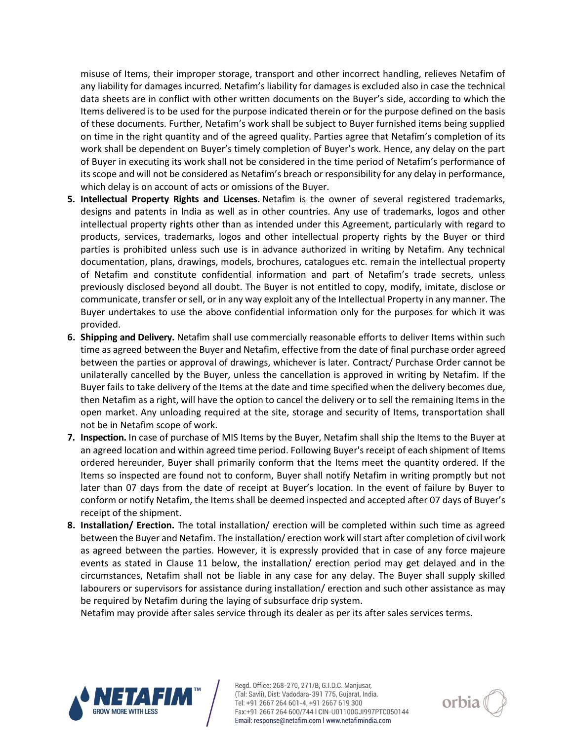misuse of Items, their improper storage, transport and other incorrect handling, relieves Netafim of any liability for damages incurred. Netafim's liability for damages is excluded also in case the technical data sheets are in conflict with other written documents on the Buyer's side, according to which the Items delivered is to be used for the purpose indicated therein or for the purpose defined on the basis of these documents. Further, Netafim's work shall be subject to Buyer furnished items being supplied on time in the right quantity and of the agreed quality. Parties agree that Netafim's completion of its work shall be dependent on Buyer's timely completion of Buyer's work. Hence, any delay on the part of Buyer in executing its work shall not be considered in the time period of Netafim's performance of its scope and will not be considered as Netafim's breach or responsibility for any delay in performance, which delay is on account of acts or omissions of the Buyer.

- **5. Intellectual Property Rights and Licenses.** Netafim is the owner of several registered trademarks, designs and patents in India as well as in other countries. Any use of trademarks, logos and other intellectual property rights other than as intended under this Agreement, particularly with regard to products, services, trademarks, logos and other intellectual property rights by the Buyer or third parties is prohibited unless such use is in advance authorized in writing by Netafim. Any technical documentation, plans, drawings, models, brochures, catalogues etc. remain the intellectual property of Netafim and constitute confidential information and part of Netafim's trade secrets, unless previously disclosed beyond all doubt. The Buyer is not entitled to copy, modify, imitate, disclose or communicate, transfer or sell, or in any way exploit any of the Intellectual Property in any manner. The Buyer undertakes to use the above confidential information only for the purposes for which it was provided.
- **6. Shipping and Delivery.** Netafim shall use commercially reasonable efforts to deliver Items within such time as agreed between the Buyer and Netafim, effective from the date of final purchase order agreed between the parties or approval of drawings, whichever is later. Contract/ Purchase Order cannot be unilaterally cancelled by the Buyer, unless the cancellation is approved in writing by Netafim. If the Buyer fails to take delivery of the Items at the date and time specified when the delivery becomes due, then Netafim as a right, will have the option to cancel the delivery or to sell the remaining Items in the open market. Any unloading required at the site, storage and security of Items, transportation shall not be in Netafim scope of work.
- **7. Inspection.** In case of purchase of MIS Items by the Buyer, Netafim shall ship the Items to the Buyer at an agreed location and within agreed time period. Following Buyer's receipt of each shipment of Items ordered hereunder, Buyer shall primarily conform that the Items meet the quantity ordered. If the Items so inspected are found not to conform, Buyer shall notify Netafim in writing promptly but not later than 07 days from the date of receipt at Buyer's location. In the event of failure by Buyer to conform or notify Netafim, the Items shall be deemed inspected and accepted after 07 days of Buyer's receipt of the shipment.
- **8. Installation/ Erection.** The total installation/ erection will be completed within such time as agreed between the Buyer and Netafim. The installation/ erection work will start after completion of civil work as agreed between the parties. However, it is expressly provided that in case of any force majeure events as stated in Clause 11 below, the installation/ erection period may get delayed and in the circumstances, Netafim shall not be liable in any case for any delay. The Buyer shall supply skilled labourers or supervisors for assistance during installation/ erection and such other assistance as may be required by Netafim during the laying of subsurface drip system.

Netafim may provide after sales service through its dealer as per its after sales services terms.



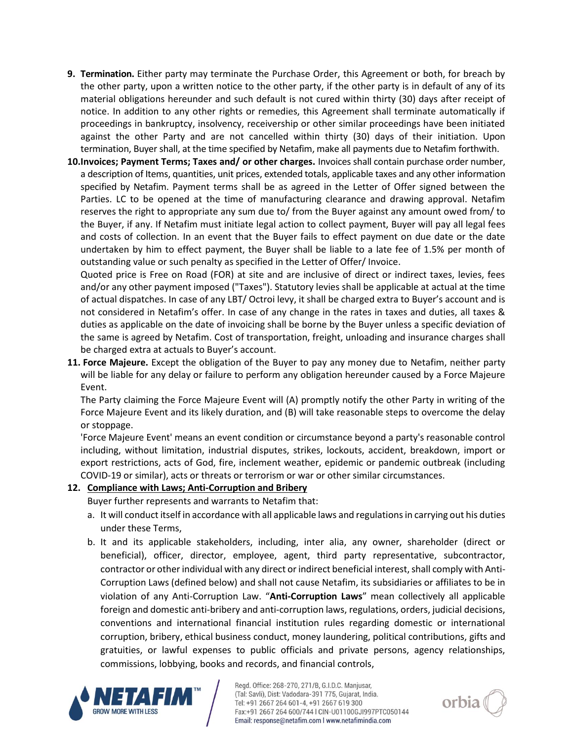- **9. Termination.** Either party may terminate the Purchase Order, this Agreement or both, for breach by the other party, upon a written notice to the other party, if the other party is in default of any of its material obligations hereunder and such default is not cured within thirty (30) days after receipt of notice. In addition to any other rights or remedies, this Agreement shall terminate automatically if proceedings in bankruptcy, insolvency, receivership or other similar proceedings have been initiated against the other Party and are not cancelled within thirty (30) days of their initiation. Upon termination, Buyer shall, at the time specified by Netafim, make all payments due to Netafim forthwith.
- **10.Invoices; Payment Terms; Taxes and/ or other charges.** Invoices shall contain purchase order number, a description of Items, quantities, unit prices, extended totals, applicable taxes and any other information specified by Netafim. Payment terms shall be as agreed in the Letter of Offer signed between the Parties. LC to be opened at the time of manufacturing clearance and drawing approval. Netafim reserves the right to appropriate any sum due to/ from the Buyer against any amount owed from/ to the Buyer, if any. If Netafim must initiate legal action to collect payment, Buyer will pay all legal fees and costs of collection. In an event that the Buyer fails to effect payment on due date or the date undertaken by him to effect payment, the Buyer shall be liable to a late fee of 1.5% per month of outstanding value or such penalty as specified in the Letter of Offer/ Invoice.

Quoted price is Free on Road (FOR) at site and are inclusive of direct or indirect taxes, levies, fees and/or any other payment imposed ("Taxes"). Statutory levies shall be applicable at actual at the time of actual dispatches. In case of any LBT/ Octroi levy, it shall be charged extra to Buyer's account and is not considered in Netafim's offer. In case of any change in the rates in taxes and duties, all taxes & duties as applicable on the date of invoicing shall be borne by the Buyer unless a specific deviation of the same is agreed by Netafim. Cost of transportation, freight, unloading and insurance charges shall be charged extra at actuals to Buyer's account.

**11. Force Majeure.** Except the obligation of the Buyer to pay any money due to Netafim, neither party will be liable for any delay or failure to perform any obligation hereunder caused by a Force Majeure Event.

The Party claiming the Force Majeure Event will (A) promptly notify the other Party in writing of the Force Majeure Event and its likely duration, and (B) will take reasonable steps to overcome the delay or stoppage.

'Force Majeure Event' means an event condition or circumstance beyond a party's reasonable control including, without limitation, industrial disputes, strikes, lockouts, accident, breakdown, import or export restrictions, acts of God, fire, inclement weather, epidemic or pandemic outbreak (including COVID-19 or similar), acts or threats or terrorism or war or other similar circumstances.

## **12. Compliance with Laws; Anti-Corruption and Bribery**

Buyer further represents and warrants to Netafim that:

- a. It will conduct itself in accordance with all applicable laws and regulations in carrying out his duties under these Terms,
- b. It and its applicable stakeholders, including, inter alia, any owner, shareholder (direct or beneficial), officer, director, employee, agent, third party representative, subcontractor, contractor or other individual with any direct or indirect beneficial interest, shall comply with Anti-Corruption Laws (defined below) and shall not cause Netafim, its subsidiaries or affiliates to be in violation of any Anti-Corruption Law. "**Anti-Corruption Laws**" mean collectively all applicable foreign and domestic anti-bribery and anti-corruption laws, regulations, orders, judicial decisions, conventions and international financial institution rules regarding domestic or international corruption, bribery, ethical business conduct, money laundering, political contributions, gifts and gratuities, or lawful expenses to public officials and private persons, agency relationships, commissions, lobbying, books and records, and financial controls,



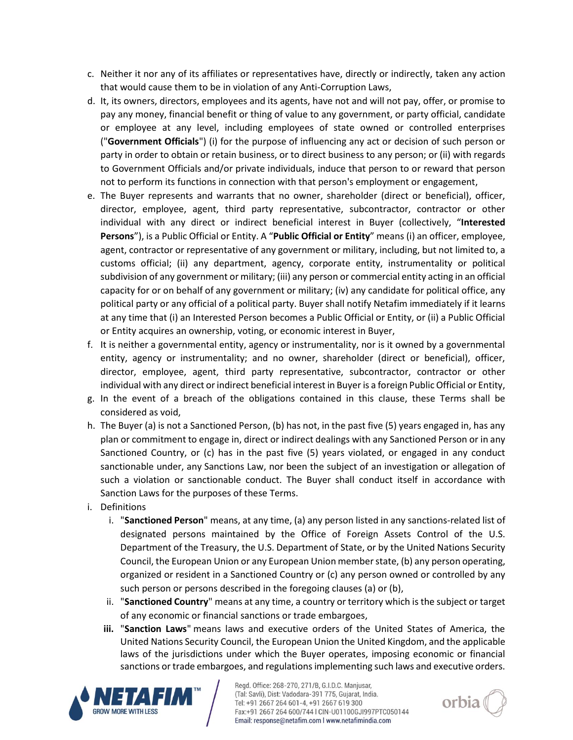- c. Neither it nor any of its affiliates or representatives have, directly or indirectly, taken any action that would cause them to be in violation of any Anti-Corruption Laws,
- d. It, its owners, directors, employees and its agents, have not and will not pay, offer, or promise to pay any money, financial benefit or thing of value to any government, or party official, candidate or employee at any level, including employees of state owned or controlled enterprises ("**Government Officials**") (i) for the purpose of influencing any act or decision of such person or party in order to obtain or retain business, or to direct business to any person; or (ii) with regards to Government Officials and/or private individuals, induce that person to or reward that person not to perform its functions in connection with that person's employment or engagement,
- e. The Buyer represents and warrants that no owner, shareholder (direct or beneficial), officer, director, employee, agent, third party representative, subcontractor, contractor or other individual with any direct or indirect beneficial interest in Buyer (collectively, "**Interested Persons**"), is a Public Official or Entity. A "**Public Official or Entity**" means (i) an officer, employee, agent, contractor or representative of any government or military, including, but not limited to, a customs official; (ii) any department, agency, corporate entity, instrumentality or political subdivision of any government or military; (iii) any person or commercial entity acting in an official capacity for or on behalf of any government or military; (iv) any candidate for political office, any political party or any official of a political party. Buyer shall notify Netafim immediately if it learns at any time that (i) an Interested Person becomes a Public Official or Entity, or (ii) a Public Official or Entity acquires an ownership, voting, or economic interest in Buyer,
- f. It is neither a governmental entity, agency or instrumentality, nor is it owned by a governmental entity, agency or instrumentality; and no owner, shareholder (direct or beneficial), officer, director, employee, agent, third party representative, subcontractor, contractor or other individual with any direct or indirect beneficial interest in Buyer is a foreign Public Official or Entity,
- g. In the event of a breach of the obligations contained in this clause, these Terms shall be considered as void,
- h. The Buyer (a) is not a Sanctioned Person, (b) has not, in the past five (5) years engaged in, has any plan or commitment to engage in, direct or indirect dealings with any Sanctioned Person or in any Sanctioned Country, or (c) has in the past five (5) years violated, or engaged in any conduct sanctionable under, any [Sanctions](https://www.lawinsider.com/clause/sanctions) Law, nor been the subject of an investigation or allegation of such a violation or sanctionable conduct. The Buyer shall conduct itself in accordance with Sanction Laws for the purposes of these Terms.
- i. Definitions
	- i. "**Sanctioned Person**" means, at any time, (a) any person listed in any sanctions-related list of designated persons maintained by the Office of Foreign Assets Control of the U.S. Department of the Treasury, the U.S. Department of State, or by the United Nations Security Council, the European Union or any European Union member state, (b) any person operating, organized or resident in a Sanctioned Country or (c) any person owned or controlled by any such person or persons described in the foregoing clauses (a) or (b),
	- ii. "**[Sanctioned Country](https://www.lawinsider.com/clause/sanctioned-country)**" means at any time, a country or territory which is the subject or target of any economic or financial sanctions or trade embargoes,
	- **iii.** "**Sanction Laws**" means laws and executive orders of the United States of America, the United Nations Security Council, the European Union the United Kingdom, and the applicable laws of the jurisdictions under which the Buyer operates, imposing economic or financial sanctions or trade embargoes, and regulations implementing such laws and executive orders.